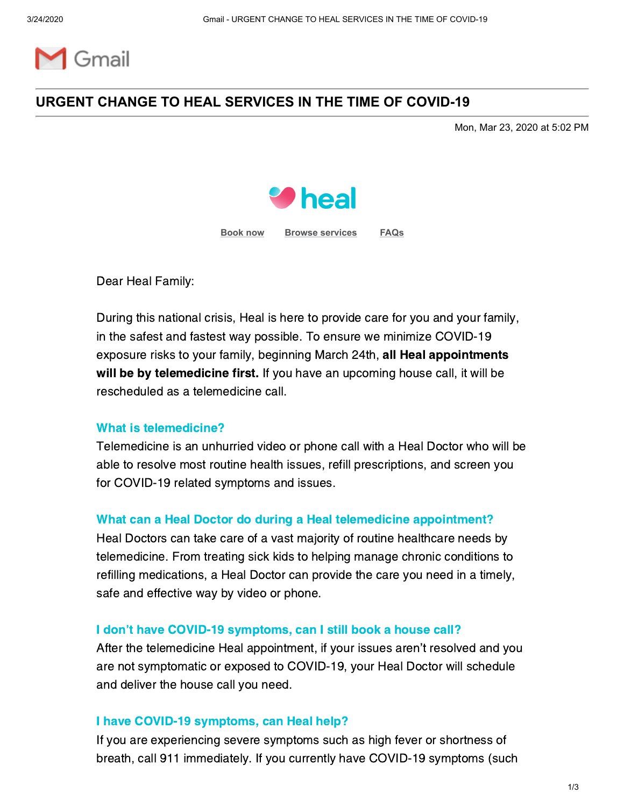

# **URGENT CHANGE TO HEAL SERVICES IN THE TIME OF COVID-19**

Mon, Mar 23, 2020 at 5:02 PM



**[Book](https://heal.us17.list-manage.com/track/click?u=72c0fa6d426c1079d2ca7f695&id=e9b59f8a29&e=9eb60f8b63) [now](https://heal.us17.list-manage.com/track/click?u=72c0fa6d426c1079d2ca7f695&id=608f1d2b3b&e=9eb60f8b63) [Browse services](https://heal.us17.list-manage.com/track/click?u=72c0fa6d426c1079d2ca7f695&id=fc353b9cc0&e=9eb60f8b63) [FAQs](https://heal.us17.list-manage.com/track/click?u=72c0fa6d426c1079d2ca7f695&id=0a81088b95&e=9eb60f8b63)**

Dear Heal Family:

During this national crisis, Heal is here to provide care for you and your family, in the safest and fastest way possible. To ensure we minimize COVID-19 exposure risks to your family, beginning March 24th, all Heal appointments will be by telemedicine first. If you have an upcoming house call, it will be rescheduled as a telemedicine call.

### What is telemedicine?

Telemedicine is an unhurried video or phone call with a Heal Doctor who will be able to resolve most routine health issues, refill prescriptions, and screen you for COVID-19 related symptoms and issues.

#### What can a Heal Doctor do during a Heal telemedicine appointment?

Heal Doctors can take care of a vast majority of routine healthcare needs by telemedicine. From treating sick kids to helping manage chronic conditions to refilling medications, a Heal Doctor can provide the care you need in a timely, safe and effective way by video or phone.

#### I don't have COVID-19 symptoms, can I still book a house call?

After the telemedicine Heal appointment, if your issues aren't resolved and you are not symptomatic or exposed to COVID-19, your Heal Doctor will schedule and deliver the house call you need.

#### I have COVID-19 symptoms, can Heal help?

If you are experiencing severe symptoms such as high fever or shortness of breath, call 911 immediately. If you currently have COVID-19 symptoms (such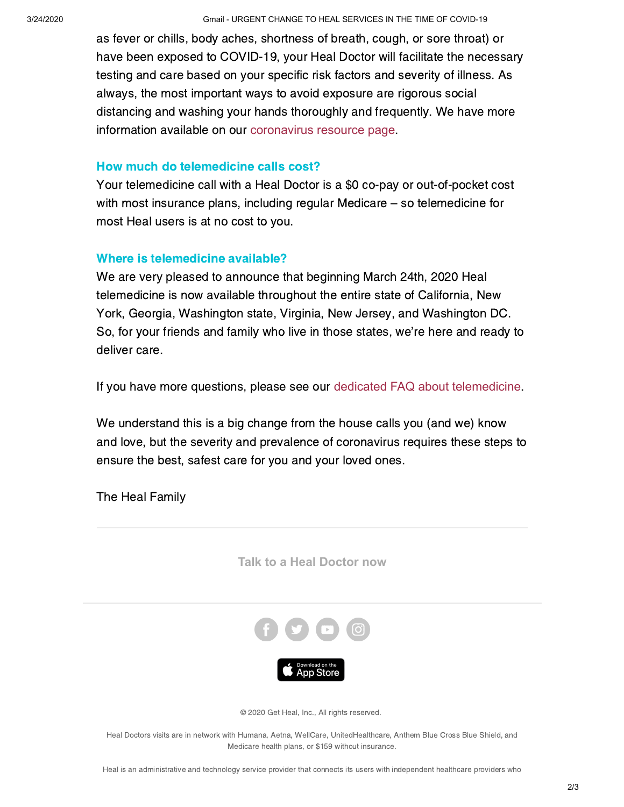3/24/2020 Gmail - URGENT CHANGE TO HEAL SERVICES IN THE TIME OF COVID-19

as fever or chills, body aches, shortness of breath, cough, or sore throat) or have been exposed to COVID-19, your Heal Doctor will facilitate the necessary testing and care based on your specific risk factors and severity of illness. As always, the most important ways to avoid exposure are rigorous social distancing and washing your hands thoroughly and frequently. We have more information available on our [coronavirus resource page](https://heal.us17.list-manage.com/track/click?u=72c0fa6d426c1079d2ca7f695&id=8c7cab3da9&e=9eb60f8b63).

### How much do telemedicine calls cost?

Your telemedicine call with a Heal Doctor is a \$0 co-pay or out-of-pocket cost with most insurance plans, including regular Medicare – so telemedicine for most Heal users is at no cost to you.

## Where is telemedicine available?

We are very pleased to announce that beginning March 24th, 2020 Heal telemedicine is now available throughout the entire state of California, New York, Georgia, Washington state, Virginia, New Jersey, and Washington DC. So, for your friends and family who live in those states, we're here and ready to deliver care.

If you have more questions, please see our [dedicated FAQ about telemedicine](https://heal.us17.list-manage.com/track/click?u=72c0fa6d426c1079d2ca7f695&id=8ae731a398&e=9eb60f8b63).

We understand this is a big change from the house calls you (and we) know and love, but the severity and prevalence of coronavirus requires these steps to ensure the best, safest care for you and your loved ones.



The Heal Family

Medicare health plans, or \$159 without insurance.